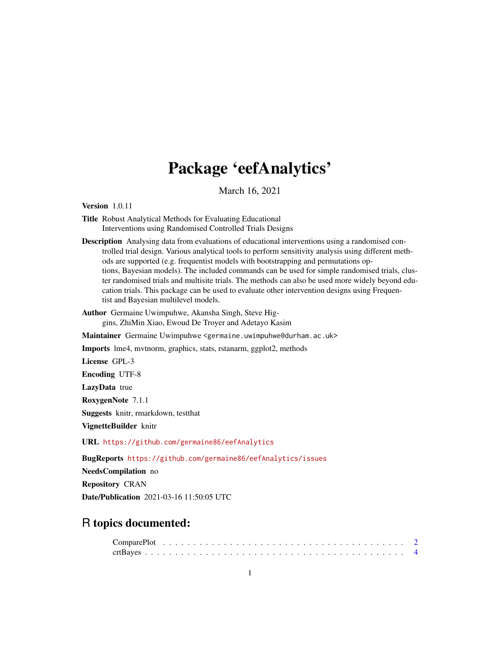## Package 'eefAnalytics'

March 16, 2021

<span id="page-0-0"></span>Version 1.0.11

Title Robust Analytical Methods for Evaluating Educational Interventions using Randomised Controlled Trials Designs

Description Analysing data from evaluations of educational interventions using a randomised controlled trial design. Various analytical tools to perform sensitivity analysis using different methods are supported (e.g. frequentist models with bootstrapping and permutations options, Bayesian models). The included commands can be used for simple randomised trials, cluster randomised trials and multisite trials. The methods can also be used more widely beyond education trials. This package can be used to evaluate other intervention designs using Frequentist and Bayesian multilevel models.

Author Germaine Uwimpuhwe, Akansha Singh, Steve Higgins, ZhiMin Xiao, Ewoud De Troyer and Adetayo Kasim

Maintainer Germaine Uwimpuhwe <germaine.uwimpuhwe@durham.ac.uk>

Imports lme4, mvtnorm, graphics, stats, rstanarm, ggplot2, methods

License GPL-3

Encoding UTF-8

LazyData true

RoxygenNote 7.1.1

Suggests knitr, rmarkdown, testthat

VignetteBuilder knitr

URL <https://github.com/germaine86/eefAnalytics>

BugReports <https://github.com/germaine86/eefAnalytics/issues>

NeedsCompilation no

Repository CRAN

Date/Publication 2021-03-16 11:50:05 UTC

### R topics documented: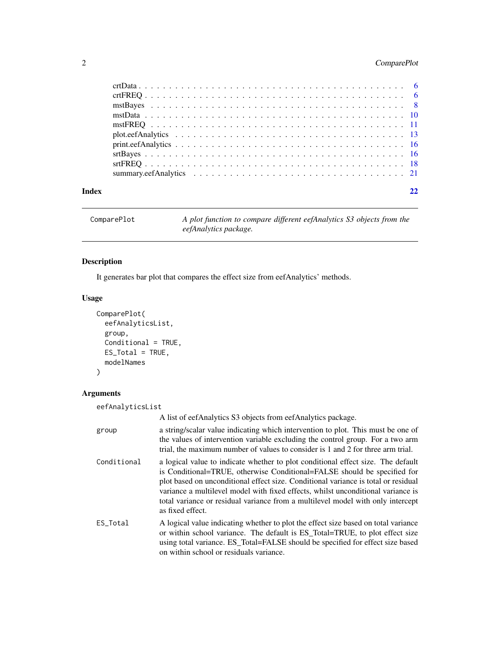#### <span id="page-1-0"></span>2 ComparePlot

| Index |  |
|-------|--|
|       |  |
|       |  |
|       |  |
|       |  |
|       |  |
|       |  |
|       |  |
|       |  |
|       |  |
|       |  |

ComparePlot *A plot function to compare different eefAnalytics S3 objects from the eefAnalytics package.*

### Description

It generates bar plot that compares the effect size from eefAnalytics' methods.

#### Usage

```
ComparePlot(
 eefAnalyticsList,
 group,
 Conditional = TRUE,
 ES_Total = TRUE,
 modelNames
)
```
#### Arguments

| eefAnalyticsList |                                                                                                                                                                                                                                                                                                                                                                                                                                               |
|------------------|-----------------------------------------------------------------------------------------------------------------------------------------------------------------------------------------------------------------------------------------------------------------------------------------------------------------------------------------------------------------------------------------------------------------------------------------------|
|                  | A list of eefAnalytics S3 objects from eefAnalytics package.                                                                                                                                                                                                                                                                                                                                                                                  |
| group            | a string/scalar value indicating which intervention to plot. This must be one of<br>the values of intervention variable excluding the control group. For a two arm<br>trial, the maximum number of values to consider is 1 and 2 for three arm trial.                                                                                                                                                                                         |
| Conditional      | a logical value to indicate whether to plot conditional effect size. The default<br>is Conditional=TRUE, otherwise Conditional=FALSE should be specified for<br>plot based on unconditional effect size. Conditional variance is total or residual<br>variance a multilevel model with fixed effects, whilst unconditional variance is<br>total variance or residual variance from a multilevel model with only intercept<br>as fixed effect. |
| ES_Total         | A logical value indicating whether to plot the effect size based on total variance<br>or within school variance. The default is ES_Total=TRUE, to plot effect size<br>using total variance. ES_Total=FALSE should be specified for effect size based<br>on within school or residuals variance.                                                                                                                                               |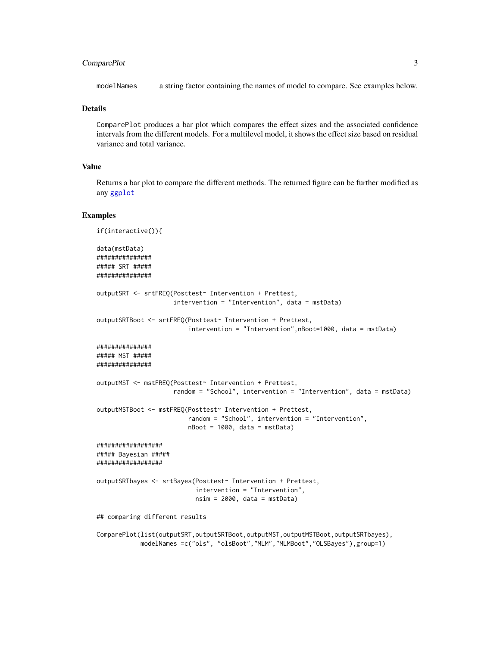#### <span id="page-2-0"></span>ComparePlot 3

modelNames a string factor containing the names of model to compare. See examples below.

#### **Details**

ComparePlot produces a bar plot which compares the effect sizes and the associated confidence intervals from the different models. For a multilevel model, it shows the effect size based on residual variance and total variance.

#### Value

Returns a bar plot to compare the different methods. The returned figure can be further modified as any [ggplot](#page-0-0)

#### Examples

```
if(interactive()){
data(mstData)
###############
##### SRT #####
###############
outputSRT <- srtFREQ(Posttest~ Intervention + Prettest,
                     intervention = "Intervention", data = mstData)
outputSRTBoot <- srtFREQ(Posttest~ Intervention + Prettest,
                         intervention = "Intervention",nBoot=1000, data = mstData)
###############
##### MST #####
###############
outputMST <- mstFREQ(Posttest~ Intervention + Prettest,
                     random = "School", intervention = "Intervention", data = mstData)
outputMSTBoot <- mstFREQ(Posttest~ Intervention + Prettest,
                         random = "School", intervention = "Intervention",
                         nBoot = 1000, data = mstData)
##################
##### Bayesian #####
##################
outputSRTbayes <- srtBayes(Posttest~ Intervention + Prettest,
                           intervention = "Intervention",
                           nsim = 2000, data = mstData)
## comparing different results
ComparePlot(list(outputSRT,outputSRTBoot,outputMST,outputMSTBoot,outputSRTbayes),
            modelNames =c("ols", "olsBoot","MLM","MLMBoot","OLSBayes"),group=1)
```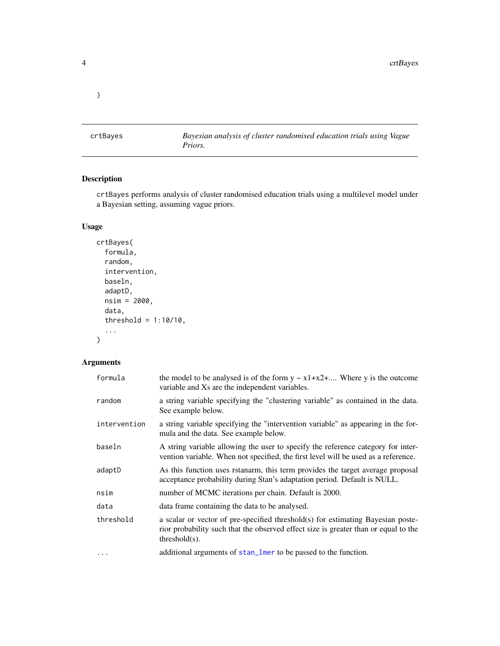<span id="page-3-0"></span>}

crtBayes *Bayesian analysis of cluster randomised education trials using Vague Priors.*

#### Description

crtBayes performs analysis of cluster randomised education trials using a multilevel model under a Bayesian setting, assuming vague priors.

#### Usage

```
crtBayes(
  formula,
  random,
  intervention,
 baseln,
  adaptD,
 nsim = 2000,
  data,
  threshold = 1:10/10,
  ...
```
#### Arguments

)

| formula      | the model to be analysed is of the form $y \sim x1+x2+$ Where y is the outcome<br>variable and Xs are the independent variables.                                                           |
|--------------|--------------------------------------------------------------------------------------------------------------------------------------------------------------------------------------------|
| random       | a string variable specifying the "clustering variable" as contained in the data.<br>See example below.                                                                                     |
| intervention | a string variable specifying the "intervention variable" as appearing in the for-<br>mula and the data. See example below.                                                                 |
| baseln       | A string variable allowing the user to specify the reference category for inter-<br>vention variable. When not specified, the first level will be used as a reference.                     |
| adaptD       | As this function uses rstanarm, this term provides the target average proposal<br>acceptance probability during Stan's adaptation period. Default is NULL.                                 |
| nsim         | number of MCMC iterations per chain. Default is 2000.                                                                                                                                      |
| data         | data frame containing the data to be analysed.                                                                                                                                             |
| threshold    | a scalar or vector of pre-specified threshold(s) for estimating Bayesian poste-<br>rior probability such that the observed effect size is greater than or equal to the<br>$threshold(s)$ . |
| $\ddots$     | additional arguments of stan_lmer to be passed to the function.                                                                                                                            |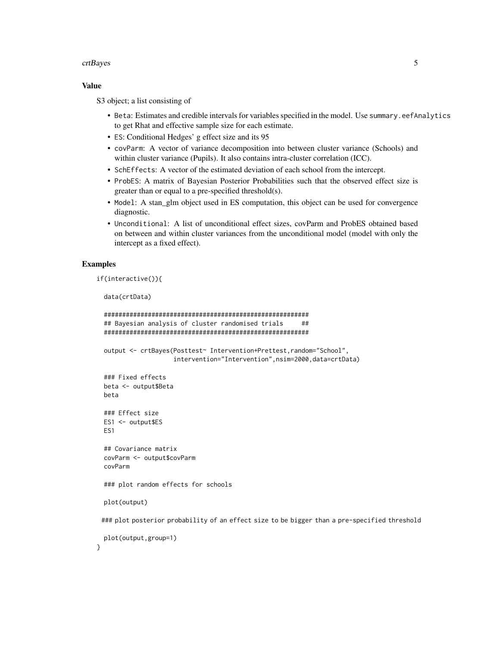#### crtBayes 5

#### Value

S3 object; a list consisting of

- Beta: Estimates and credible intervals for variables specified in the model. Use summary.eefAnalytics to get Rhat and effective sample size for each estimate.
- ES: Conditional Hedges' g effect size and its 95
- covParm: A vector of variance decomposition into between cluster variance (Schools) and within cluster variance (Pupils). It also contains intra-cluster correlation (ICC).
- SchEffects: A vector of the estimated deviation of each school from the intercept.
- ProbES: A matrix of Bayesian Posterior Probabilities such that the observed effect size is greater than or equal to a pre-specified threshold(s).
- Model: A stan\_glm object used in ES computation, this object can be used for convergence diagnostic.
- Unconditional: A list of unconditional effect sizes, covParm and ProbES obtained based on between and within cluster variances from the unconditional model (model with only the intercept as a fixed effect).

#### Examples

}

```
if(interactive()){
```
data(crtData)

```
########################################################
## Bayesian analysis of cluster randomised trials ##
########################################################
output <- crtBayes(Posttest~ Intervention+Prettest,random="School",
                   intervention="Intervention",nsim=2000,data=crtData)
### Fixed effects
beta <- output$Beta
beta
### Effect size
ES1 <- output$ES
ES1
## Covariance matrix
covParm <- output$covParm
covParm
### plot random effects for schools
plot(output)
### plot posterior probability of an effect size to be bigger than a pre-specified threshold
plot(output,group=1)
```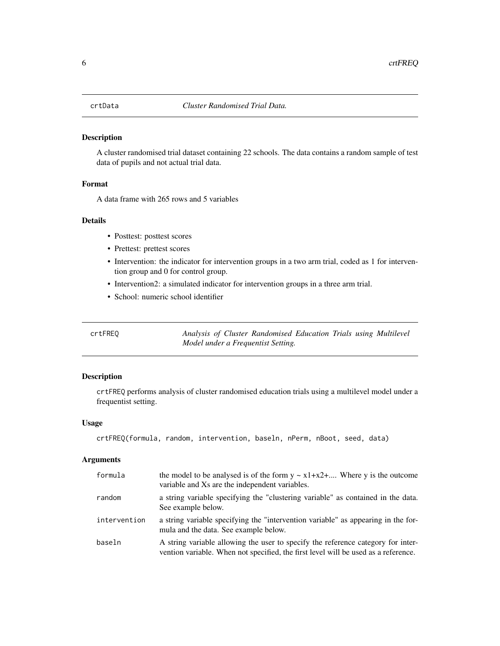#### <span id="page-5-0"></span>Description

A cluster randomised trial dataset containing 22 schools. The data contains a random sample of test data of pupils and not actual trial data.

#### Format

A data frame with 265 rows and 5 variables

#### Details

- Posttest: posttest scores
- Prettest: prettest scores
- Intervention: the indicator for intervention groups in a two arm trial, coded as 1 for intervention group and 0 for control group.
- Intervention2: a simulated indicator for intervention groups in a three arm trial.
- School: numeric school identifier

crtFREQ *Analysis of Cluster Randomised Education Trials using Multilevel Model under a Frequentist Setting.*

#### Description

crtFREQ performs analysis of cluster randomised education trials using a multilevel model under a frequentist setting.

#### Usage

```
crtFREQ(formula, random, intervention, baseln, nPerm, nBoot, seed, data)
```
#### Arguments

| formula      | the model to be analysed is of the form $y \sim x1 + x2 + $ Where y is the outcome<br>variable and Xs are the independent variables.                                   |
|--------------|------------------------------------------------------------------------------------------------------------------------------------------------------------------------|
| random       | a string variable specifying the "clustering variable" as contained in the data.<br>See example below.                                                                 |
| intervention | a string variable specifying the "intervention variable" as appearing in the for-<br>mula and the data. See example below.                                             |
| baseln       | A string variable allowing the user to specify the reference category for inter-<br>vention variable. When not specified, the first level will be used as a reference. |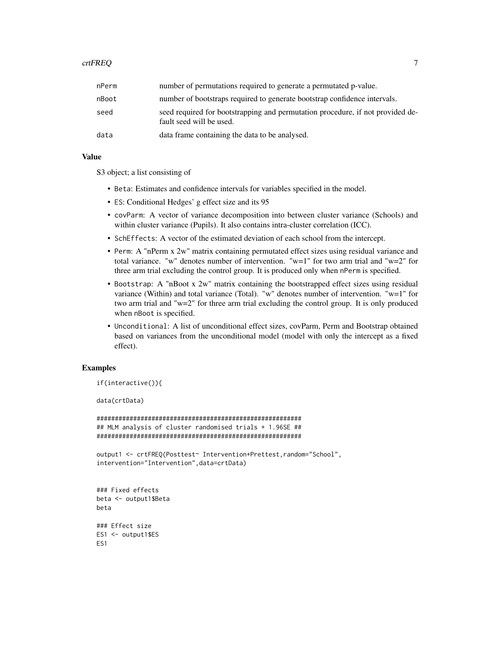#### crtFREQ 7

| nPerm | number of permutations required to generate a permutated p-value.                                          |
|-------|------------------------------------------------------------------------------------------------------------|
| nBoot | number of bootstraps required to generate bootstrap confidence intervals.                                  |
| seed  | seed required for bootstrapping and permutation procedure, if not provided de-<br>fault seed will be used. |
| data  | data frame containing the data to be analysed.                                                             |

#### Value

S3 object; a list consisting of

- Beta: Estimates and confidence intervals for variables specified in the model.
- ES: Conditional Hedges' g effect size and its 95
- covParm: A vector of variance decomposition into between cluster variance (Schools) and within cluster variance (Pupils). It also contains intra-cluster correlation (ICC).
- SchEffects: A vector of the estimated deviation of each school from the intercept.
- Perm: A "nPerm x 2w" matrix containing permutated effect sizes using residual variance and total variance. "w" denotes number of intervention. "w=1" for two arm trial and "w=2" for three arm trial excluding the control group. It is produced only when nPerm is specified.
- Bootstrap: A "nBoot x 2w" matrix containing the bootstrapped effect sizes using residual variance (Within) and total variance (Total). "w" denotes number of intervention. "w=1" for two arm trial and "w=2" for three arm trial excluding the control group. It is only produced when nBoot is specified.
- Unconditional: A list of unconditional effect sizes, covParm, Perm and Bootstrap obtained based on variances from the unconditional model (model with only the intercept as a fixed effect).

#### Examples

```
if(interactive()){
```
data(crtData)

```
########################################################
## MLM analysis of cluster randomised trials + 1.96SE ##
########################################################
```

```
output1 <- crtFREQ(Posttest~ Intervention+Prettest,random="School",
intervention="Intervention",data=crtData)
```

```
### Fixed effects
beta <- output1$Beta
beta
### Effect size
ES1 <- output1$ES
ES1
```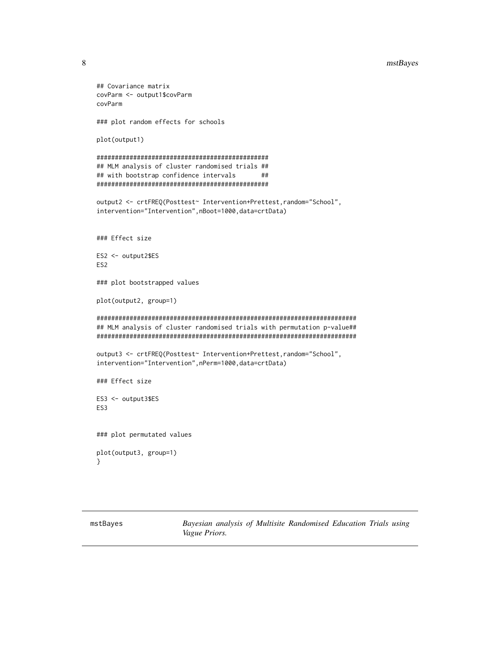#### <span id="page-7-0"></span>8 mstBayes and the state of the state of the state of the state of the state of the state of the state of the state of the state of the state of the state of the state of the state of the state of the state of the state of

```
## Covariance matrix
covParm <- output1$covParm
covParm
### plot random effects for schools
plot(output1)
###############################################
## MLM analysis of cluster randomised trials ##
## with bootstrap confidence intervals ##
###############################################
output2 <- crtFREQ(Posttest~ Intervention+Prettest,random="School",
intervention="Intervention",nBoot=1000,data=crtData)
### Effect size
ES2 <- output2$ES
ES2
### plot bootstrapped values
plot(output2, group=1)
#######################################################################
## MLM analysis of cluster randomised trials with permutation p-value##
#######################################################################
output3 <- crtFREQ(Posttest~ Intervention+Prettest,random="School",
intervention="Intervention",nPerm=1000,data=crtData)
### Effect size
ES3 <- output3$ES
ES3
### plot permutated values
plot(output3, group=1)
}
```
mstBayes *Bayesian analysis of Multisite Randomised Education Trials using Vague Priors.*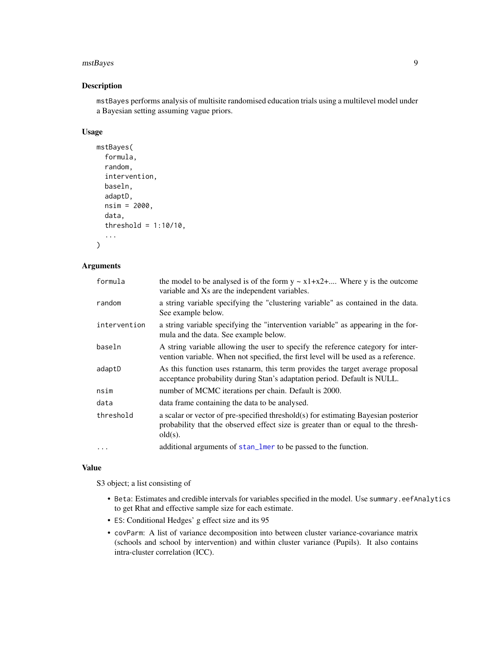#### <span id="page-8-0"></span>mstBayes 9

#### Description

mstBayes performs analysis of multisite randomised education trials using a multilevel model under a Bayesian setting assuming vague priors.

#### Usage

```
mstBayes(
  formula,
  random,
  intervention,
  baseln,
  adaptD,
  nsim = 2000,
  data,
  threshold = 1:10/10,
  ...
```
#### Arguments

 $\mathcal{L}$ 

| formula      | the model to be analysed is of the form $y \sim x1+x2+$ Where y is the outcome<br>variable and Xs are the independent variables.                                                      |
|--------------|---------------------------------------------------------------------------------------------------------------------------------------------------------------------------------------|
| random       | a string variable specifying the "clustering variable" as contained in the data.<br>See example below.                                                                                |
| intervention | a string variable specifying the "intervention variable" as appearing in the for-<br>mula and the data. See example below.                                                            |
| baseln       | A string variable allowing the user to specify the reference category for inter-<br>vention variable. When not specified, the first level will be used as a reference.                |
| adaptD       | As this function uses rstanarm, this term provides the target average proposal<br>acceptance probability during Stan's adaptation period. Default is NULL.                            |
| nsim         | number of MCMC iterations per chain. Default is 2000.                                                                                                                                 |
| data         | data frame containing the data to be analysed.                                                                                                                                        |
| threshold    | a scalar or vector of pre-specified threshold(s) for estimating Bayesian posterior<br>probability that the observed effect size is greater than or equal to the thresh-<br>$old(s)$ . |
| $\cdots$     | additional arguments of stan_lmer to be passed to the function.                                                                                                                       |

#### Value

S3 object; a list consisting of

- Beta: Estimates and credible intervals for variables specified in the model. Use summary.eefAnalytics to get Rhat and effective sample size for each estimate.
- ES: Conditional Hedges' g effect size and its 95
- covParm: A list of variance decomposition into between cluster variance-covariance matrix (schools and school by intervention) and within cluster variance (Pupils). It also contains intra-cluster correlation (ICC).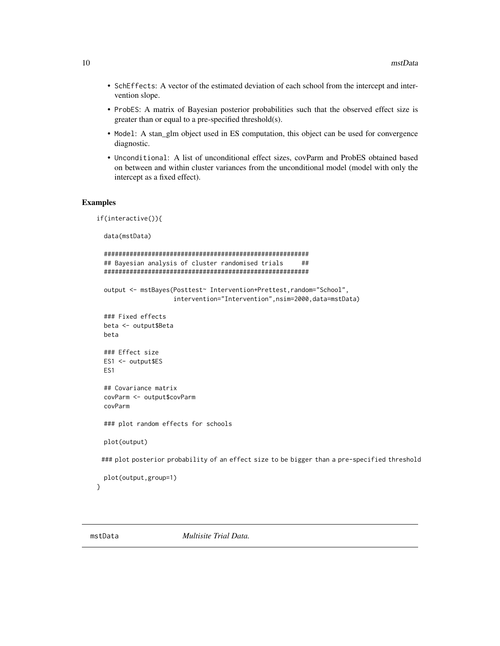- <span id="page-9-0"></span>• SchEffects: A vector of the estimated deviation of each school from the intercept and intervention slope.
- ProbES: A matrix of Bayesian posterior probabilities such that the observed effect size is greater than or equal to a pre-specified threshold(s).
- Model: A stan\_glm object used in ES computation, this object can be used for convergence diagnostic.
- Unconditional: A list of unconditional effect sizes, covParm and ProbES obtained based on between and within cluster variances from the unconditional model (model with only the intercept as a fixed effect).

#### Examples

```
if(interactive()){
 data(mstData)
 ########################################################
 ## Bayesian analysis of cluster randomised trials ##
 ########################################################
 output <- mstBayes(Posttest~ Intervention+Prettest,random="School",
                     intervention="Intervention",nsim=2000,data=mstData)
 ### Fixed effects
 beta <- output$Beta
 beta
 ### Effect size
 ES1 <- output$ES
 ES1
 ## Covariance matrix
 covParm <- output$covParm
 covParm
 ### plot random effects for schools
 plot(output)
 ### plot posterior probability of an effect size to be bigger than a pre-specified threshold
 plot(output,group=1)
```
}

mstData *Multisite Trial Data.*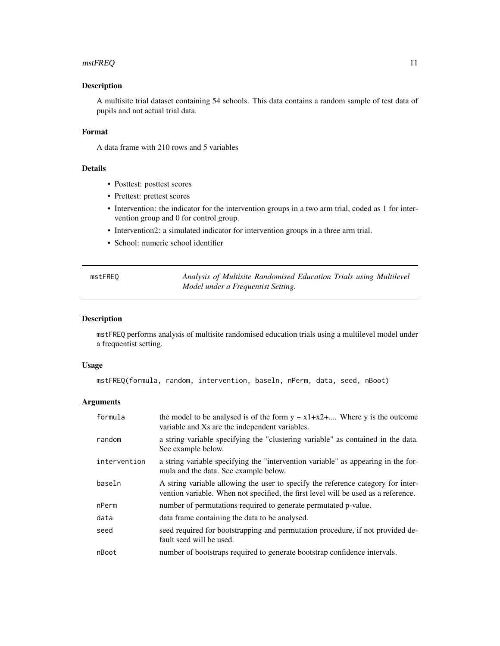#### <span id="page-10-0"></span> $m$ stFREQ  $11$

#### Description

A multisite trial dataset containing 54 schools. This data contains a random sample of test data of pupils and not actual trial data.

#### Format

A data frame with 210 rows and 5 variables

#### Details

- Posttest: posttest scores
- Prettest: prettest scores
- Intervention: the indicator for the intervention groups in a two arm trial, coded as 1 for intervention group and 0 for control group.
- Intervention2: a simulated indicator for intervention groups in a three arm trial.
- School: numeric school identifier

| mstFREQ | Analysis of Multisite Randomised Education Trials using Multilevel |
|---------|--------------------------------------------------------------------|
|         | Model under a Frequentist Setting.                                 |

#### Description

mstFREQ performs analysis of multisite randomised education trials using a multilevel model under a frequentist setting.

#### Usage

```
mstFREQ(formula, random, intervention, baseln, nPerm, data, seed, nBoot)
```
#### Arguments

| formula      | the model to be analysed is of the form $y \sim x1+x2+$ Where y is the outcome<br>variable and Xs are the independent variables.                                       |
|--------------|------------------------------------------------------------------------------------------------------------------------------------------------------------------------|
| random       | a string variable specifying the "clustering variable" as contained in the data.<br>See example below.                                                                 |
| intervention | a string variable specifying the "intervention variable" as appearing in the for-<br>mula and the data. See example below.                                             |
| baseln       | A string variable allowing the user to specify the reference category for inter-<br>vention variable. When not specified, the first level will be used as a reference. |
| nPerm        | number of permutations required to generate permutated p-value.                                                                                                        |
| data         | data frame containing the data to be analysed.                                                                                                                         |
| seed         | seed required for bootstrapping and permutation procedure, if not provided de-<br>fault seed will be used.                                                             |
| nBoot        | number of bootstraps required to generate bootstrap confidence intervals.                                                                                              |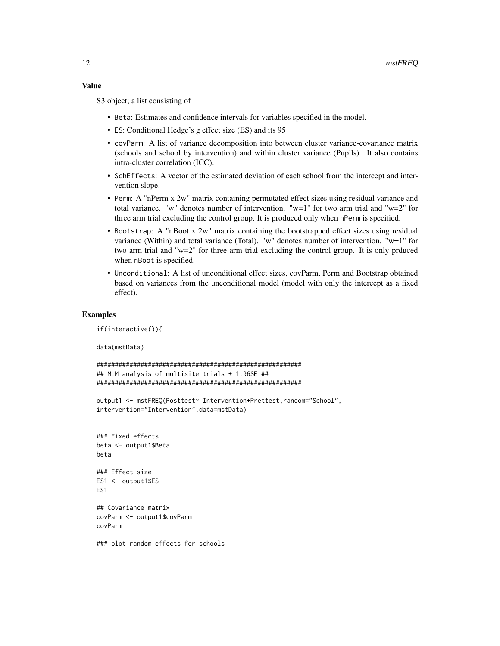#### Value

S3 object; a list consisting of

- Beta: Estimates and confidence intervals for variables specified in the model.
- ES: Conditional Hedge's g effect size (ES) and its 95
- covParm: A list of variance decomposition into between cluster variance-covariance matrix (schools and school by intervention) and within cluster variance (Pupils). It also contains intra-cluster correlation (ICC).
- SchEffects: A vector of the estimated deviation of each school from the intercept and intervention slope.
- Perm: A "nPerm x 2w" matrix containing permutated effect sizes using residual variance and total variance. "w" denotes number of intervention. "w=1" for two arm trial and "w=2" for three arm trial excluding the control group. It is produced only when nPerm is specified.
- Bootstrap: A "nBoot x 2w" matrix containing the bootstrapped effect sizes using residual variance (Within) and total variance (Total). "w" denotes number of intervention. "w=1" for two arm trial and "w=2" for three arm trial excluding the control group. It is only prduced when nBoot is specified.
- Unconditional: A list of unconditional effect sizes, covParm, Perm and Bootstrap obtained based on variances from the unconditional model (model with only the intercept as a fixed effect).

#### Examples

```
if(interactive()){
```
data(mstData)

```
########################################################
## MLM analysis of multisite trials + 1.96SE ##
########################################################
```
output1 <- mstFREQ(Posttest~ Intervention+Prettest,random="School", intervention="Intervention",data=mstData)

```
### Fixed effects
beta <- output1$Beta
beta
### Effect size
ES1 <- output1$ES
ES1
## Covariance matrix
```
covParm <- output1\$covParm covParm

### plot random effects for schools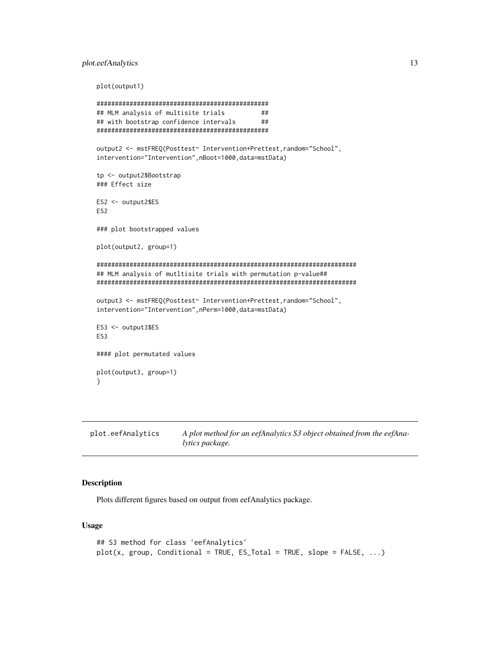#### <span id="page-12-0"></span>plot.eefAnalytics 13

plot(output1)

```
###############################################
## MLM analysis of multisite trials ##
## with bootstrap confidence intervals ##
###############################################
output2 <- mstFREQ(Posttest~ Intervention+Prettest,random="School",
intervention="Intervention",nBoot=1000,data=mstData)
tp <- output2$Bootstrap
### Effect size
ES2 <- output2$ES
ES2
### plot bootstrapped values
plot(output2, group=1)
#######################################################################
## MLM analysis of mutltisite trials with permutation p-value##
#######################################################################
output3 <- mstFREQ(Posttest~ Intervention+Prettest,random="School",
intervention="Intervention",nPerm=1000,data=mstData)
ES3 <- output3$ES
ES3
#### plot permutated values
plot(output3, group=1)
}
```
plot.eefAnalytics *A plot method for an eefAnalytics S3 object obtained from the eefAnalytics package.*

#### Description

Plots different figures based on output from eefAnalytics package.

#### Usage

```
## S3 method for class 'eefAnalytics'
plot(x, group, Conditional = TRUE, ES\_Total = TRUE, slope = FALSE, ...)
```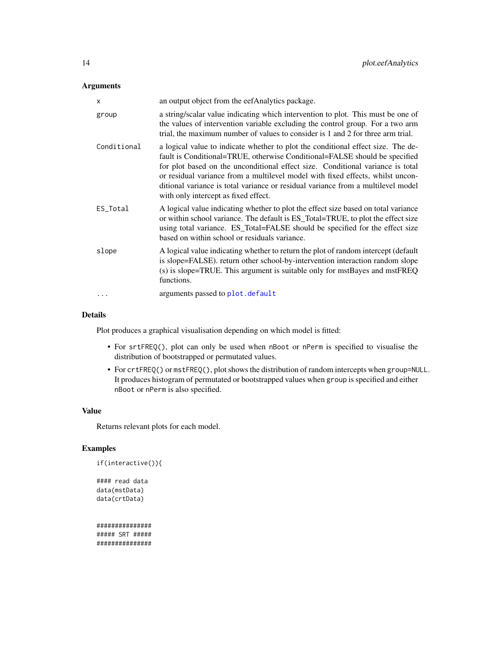#### <span id="page-13-0"></span>Arguments

| x           | an output object from the eefAnalytics package.                                                                                                                                                                                                                                                                                                                                                                                                                |
|-------------|----------------------------------------------------------------------------------------------------------------------------------------------------------------------------------------------------------------------------------------------------------------------------------------------------------------------------------------------------------------------------------------------------------------------------------------------------------------|
| group       | a string/scalar value indicating which intervention to plot. This must be one of<br>the values of intervention variable excluding the control group. For a two arm<br>trial, the maximum number of values to consider is 1 and 2 for three arm trial.                                                                                                                                                                                                          |
| Conditional | a logical value to indicate whether to plot the conditional effect size. The de-<br>fault is Conditional=TRUE, otherwise Conditional=FALSE should be specified<br>for plot based on the unconditional effect size. Conditional variance is total<br>or residual variance from a multilevel model with fixed effects, whilst uncon-<br>ditional variance is total variance or residual variance from a multilevel model<br>with only intercept as fixed effect. |
| ES_Total    | A logical value indicating whether to plot the effect size based on total variance<br>or within school variance. The default is ES_Total=TRUE, to plot the effect size<br>using total variance. ES_Total=FALSE should be specified for the effect size<br>based on within school or residuals variance.                                                                                                                                                        |
| slope       | A logical value indicating whether to return the plot of random intercept (default<br>is slope=FALSE). return other school-by-intervention interaction random slope<br>(s) is slope=TRUE. This argument is suitable only for mstBayes and mstFREQ<br>functions.                                                                                                                                                                                                |
| $\cdots$    | arguments passed to plot. default                                                                                                                                                                                                                                                                                                                                                                                                                              |

#### Details

Plot produces a graphical visualisation depending on which model is fitted:

- For srtFREQ(), plot can only be used when nBoot or nPerm is specified to visualise the distribution of bootstrapped or permutated values.
- For crtFREQ() or mstFREQ(), plot shows the distribution of random intercepts when group=NULL. It produces histogram of permutated or bootstrapped values when group is specified and either nBoot or nPerm is also specified.

#### Value

Returns relevant plots for each model.

#### Examples

```
if(interactive()){
```

```
#### read data
data(mstData)
data(crtData)
```
############### ##### SRT ##### ###############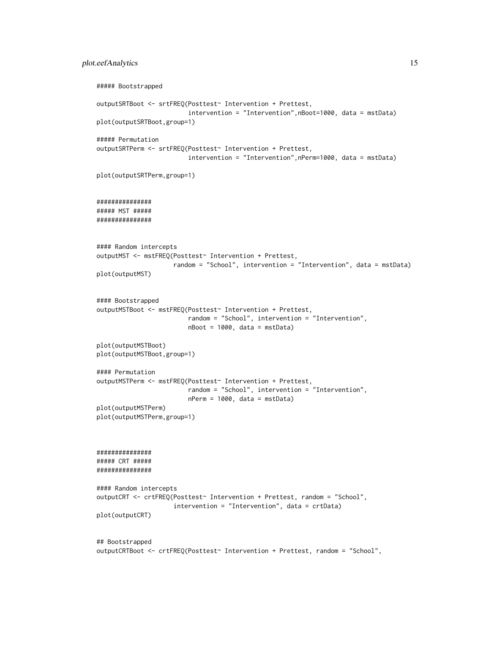#### plot.eefAnalytics 15

```
##### Bootstrapped
outputSRTBoot <- srtFREQ(Posttest~ Intervention + Prettest,
                         intervention = "Intervention",nBoot=1000, data = mstData)
plot(outputSRTBoot,group=1)
##### Permutation
outputSRTPerm <- srtFREQ(Posttest~ Intervention + Prettest,
                         intervention = "Intervention",nPerm=1000, data = mstData)
plot(outputSRTPerm,group=1)
###############
##### MST #####
###############
#### Random intercepts
outputMST <- mstFREQ(Posttest~ Intervention + Prettest,
                     random = "School", intervention = "Intervention", data = mstData)
plot(outputMST)
#### Bootstrapped
outputMSTBoot <- mstFREQ(Posttest~ Intervention + Prettest,
                        random = "School", intervention = "Intervention",
                        nBoot = 1000, data = mstData)
plot(outputMSTBoot)
plot(outputMSTBoot,group=1)
#### Permutation
outputMSTPerm <- mstFREQ(Posttest~ Intervention + Prettest,
                        random = "School", intervention = "Intervention",
                        nPerm = 1000, data = mstData)
plot(outputMSTPerm)
plot(outputMSTPerm,group=1)
###############
##### CRT #####
###############
#### Random intercepts
outputCRT <- crtFREQ(Posttest~ Intervention + Prettest, random = "School",
                     intervention = "Intervention", data = crtData)
plot(outputCRT)
## Bootstrapped
outputCRTBoot <- crtFREQ(Posttest~ Intervention + Prettest, random = "School",
```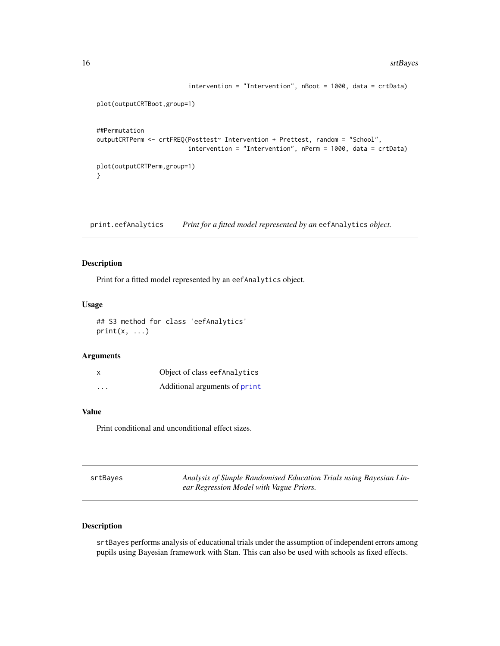```
intervention = "Intervention", nBoot = 1000, data = crtData)
plot(outputCRTBoot,group=1)
##Permutation
outputCRTPerm <- crtFREQ(Posttest~ Intervention + Prettest, random = "School",
                         intervention = "Intervention", nPerm = 1000, data = crtData)
plot(outputCRTPerm,group=1)
}
```
print.eefAnalytics *Print for a fitted model represented by an* eefAnalytics *object.*

#### Description

Print for a fitted model represented by an eefAnalytics object.

#### Usage

## S3 method for class 'eefAnalytics'  $print(x, \ldots)$ 

#### Arguments

| $\times$ | Object of class eefAnalytics  |
|----------|-------------------------------|
| $\cdots$ | Additional arguments of print |

#### Value

Print conditional and unconditional effect sizes.

| srtBayes | Analysis of Simple Randomised Education Trials using Bayesian Lin- |
|----------|--------------------------------------------------------------------|
|          | ear Regression Model with Vague Priors.                            |

#### Description

srtBayes performs analysis of educational trials under the assumption of independent errors among pupils using Bayesian framework with Stan. This can also be used with schools as fixed effects.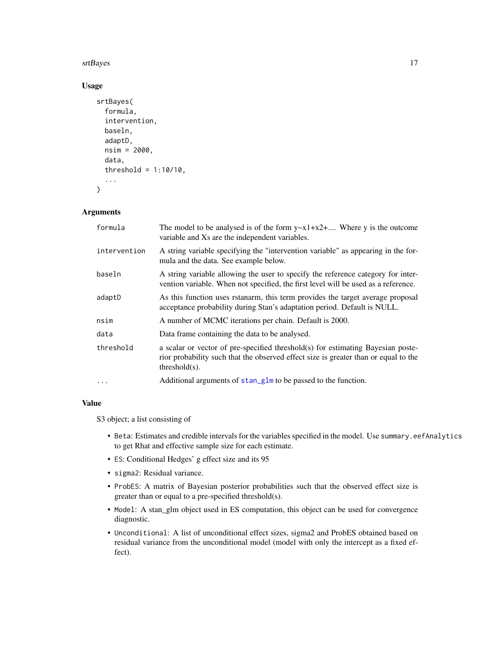#### <span id="page-16-0"></span>srtBayes and the state of the state of the state of the state of the state of the state of the state of the state of the state of the state of the state of the state of the state of the state of the state of the state of t

#### Usage

```
srtBayes(
  formula,
  intervention,
 baseln,
  adaptD,
  nsim = 2000,
  data,
  threshold = 1:10/10,
  ...
)
```
#### Arguments

| formula      | The model to be analysed is of the form $y \sim x1 + x2 + $ Where y is the outcome<br>variable and Xs are the independent variables.                                                       |  |
|--------------|--------------------------------------------------------------------------------------------------------------------------------------------------------------------------------------------|--|
| intervention | A string variable specifying the "intervention variable" as appearing in the for-<br>mula and the data. See example below.                                                                 |  |
| baseln       | A string variable allowing the user to specify the reference category for inter-<br>vention variable. When not specified, the first level will be used as a reference.                     |  |
| adaptD       | As this function uses rstanarm, this term provides the target average proposal<br>acceptance probability during Stan's adaptation period. Default is NULL.                                 |  |
| nsim         | A number of MCMC iterations per chain. Default is 2000.                                                                                                                                    |  |
| data         | Data frame containing the data to be analysed.                                                                                                                                             |  |
| threshold    | a scalar or vector of pre-specified threshold(s) for estimating Bayesian poste-<br>rior probability such that the observed effect size is greater than or equal to the<br>$threshold(s)$ . |  |
| $\ddots$     | Additional arguments of stan_glm to be passed to the function.                                                                                                                             |  |

#### Value

S3 object; a list consisting of

- Beta: Estimates and credible intervals for the variables specified in the model. Use summary.eefAnalytics to get Rhat and effective sample size for each estimate.
- ES: Conditional Hedges' g effect size and its 95
- sigma2: Residual variance.
- ProbES: A matrix of Bayesian posterior probabilities such that the observed effect size is greater than or equal to a pre-specified threshold(s).
- Model: A stan\_glm object used in ES computation, this object can be used for convergence diagnostic.
- Unconditional: A list of unconditional effect sizes, sigma2 and ProbES obtained based on residual variance from the unconditional model (model with only the intercept as a fixed effect).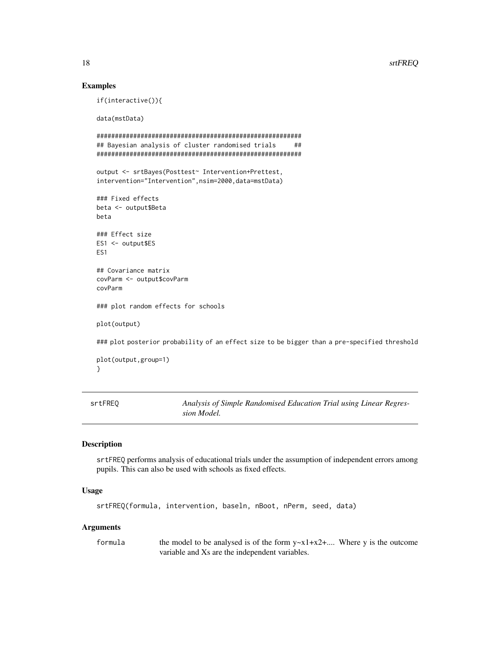#### 18 strFREQ

#### Examples

if(interactive()){

data(mstData)

```
########################################################
## Bayesian analysis of cluster randomised trials ##
########################################################
output <- srtBayes(Posttest~ Intervention+Prettest,
intervention="Intervention",nsim=2000,data=mstData)
```

```
### Fixed effects
beta <- output$Beta
beta
```

```
### Effect size
ES1 <- output$ES
ES1
```
## Covariance matrix covParm <- output\$covParm covParm

### plot random effects for schools

plot(output)

### plot posterior probability of an effect size to be bigger than a pre-specified threshold

```
plot(output,group=1)
}
```
srtFREQ *Analysis of Simple Randomised Education Trial using Linear Regression Model.*

#### Description

srtFREQ performs analysis of educational trials under the assumption of independent errors among pupils. This can also be used with schools as fixed effects.

#### Usage

```
srtFREQ(formula, intervention, baseln, nBoot, nPerm, seed, data)
```
#### Arguments

formula the model to be analysed is of the form  $y \sim x1+x2+...$  Where y is the outcome variable and Xs are the independent variables.

<span id="page-17-0"></span>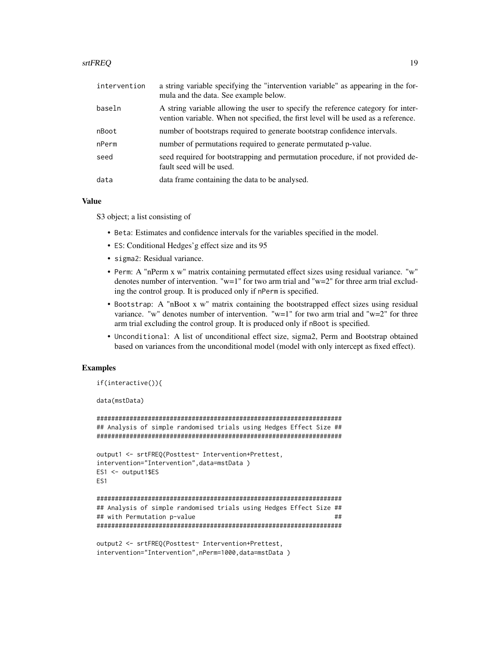#### srtFREQ and the state of the state of the state of the state of the state of the state of the state of the state of the state of the state of the state of the state of the state of the state of the state of the state of th

| intervention | a string variable specifying the "intervention variable" as appearing in the for-<br>mula and the data. See example below.                                             |  |
|--------------|------------------------------------------------------------------------------------------------------------------------------------------------------------------------|--|
| baseln       | A string variable allowing the user to specify the reference category for inter-<br>vention variable. When not specified, the first level will be used as a reference. |  |
| nBoot        | number of bootstraps required to generate bootstrap confidence intervals.                                                                                              |  |
| nPerm        | number of permutations required to generate permutated p-value.                                                                                                        |  |
| seed         | seed required for bootstrapping and permutation procedure, if not provided de-<br>fault seed will be used.                                                             |  |
| data         | data frame containing the data to be analysed.                                                                                                                         |  |
|              |                                                                                                                                                                        |  |

#### Value

S3 object; a list consisting of

- Beta: Estimates and confidence intervals for the variables specified in the model.
- ES: Conditional Hedges'g effect size and its 95
- sigma2: Residual variance.
- Perm: A "nPerm x w" matrix containing permutated effect sizes using residual variance. "w" denotes number of intervention. " $w=1$ " for two arm trial and " $w=2$ " for three arm trial excluding the control group. It is produced only if nPerm is specified.
- Bootstrap: A "nBoot x w" matrix containing the bootstrapped effect sizes using residual variance. "w" denotes number of intervention. "w=1" for two arm trial and "w=2" for three arm trial excluding the control group. It is produced only if nBoot is specified.
- Unconditional: A list of unconditional effect size, sigma2, Perm and Bootstrap obtained based on variances from the unconditional model (model with only intercept as fixed effect).

#### Examples

```
if(interactive()){
```
data(mstData)

```
###################################################################
## Analysis of simple randomised trials using Hedges Effect Size ##
###################################################################
output1 <- srtFREQ(Posttest~ Intervention+Prettest,
intervention="Intervention",data=mstData )
ES1 <- output1$ES
ES1
###################################################################
## Analysis of simple randomised trials using Hedges Effect Size ##
## with Permutation p-value ##
###################################################################
```

```
output2 <- srtFREQ(Posttest~ Intervention+Prettest,
intervention="Intervention",nPerm=1000,data=mstData )
```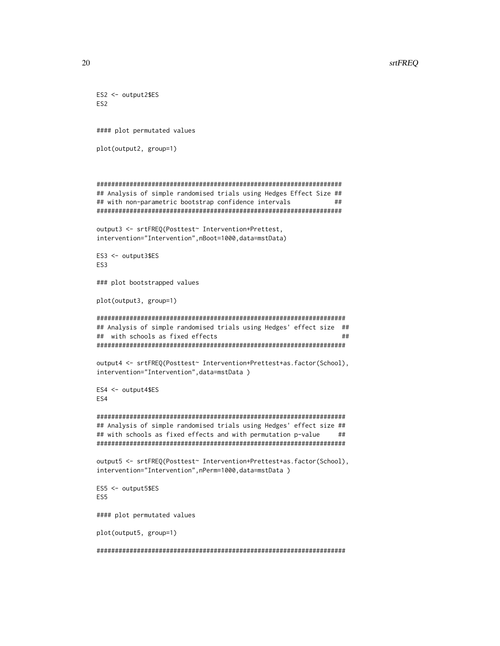#### 20 stellar to the contract of the contract of the contract of the contract of the contract of the contract of the contract of the contract of the contract of the contract of the contract of the contract of the contract of

```
ES2 <- output2$ES
ES2
#### plot permutated values
plot(output2, group=1)
###################################################################
## Analysis of simple randomised trials using Hedges Effect Size ##
## with non-parametric bootstrap confidence intervals ##
###################################################################
output3 <- srtFREQ(Posttest~ Intervention+Prettest,
intervention="Intervention",nBoot=1000,data=mstData)
ES3 <- output3$ES
ES3
### plot bootstrapped values
plot(output3, group=1)
####################################################################
## Analysis of simple randomised trials using Hedges' effect size ##
## with schools as fixed effects ##
####################################################################
output4 <- srtFREQ(Posttest~ Intervention+Prettest+as.factor(School),
intervention="Intervention",data=mstData )
ES4 <- output4$ES
ES4
####################################################################
## Analysis of simple randomised trials using Hedges' effect size ##
## with schools as fixed effects and with permutation p-value ##
####################################################################
output5 <- srtFREQ(Posttest~ Intervention+Prettest+as.factor(School),
intervention="Intervention",nPerm=1000,data=mstData )
ES5 <- output5$ES
ES5
#### plot permutated values
plot(output5, group=1)
```
####################################################################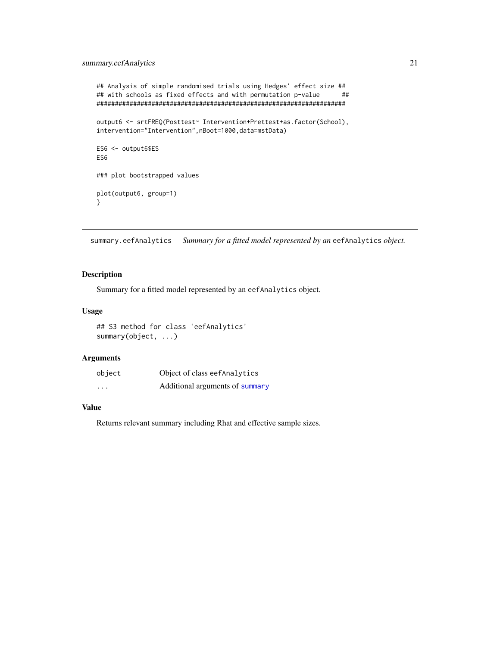```
## Analysis of simple randomised trials using Hedges' effect size ##
## with schools as fixed effects and with permutation p-value ##
####################################################################
output6 <- srtFREQ(Posttest~ Intervention+Prettest+as.factor(School),
intervention="Intervention",nBoot=1000,data=mstData)
ES6 <- output6$ES
ES6
### plot bootstrapped values
plot(output6, group=1)
}
```
summary.eefAnalytics *Summary for a fitted model represented by an* eefAnalytics *object.*

#### Description

Summary for a fitted model represented by an eefAnalytics object.

#### Usage

## S3 method for class 'eefAnalytics' summary(object, ...)

#### Arguments

| object                  | Object of class eef Analytics   |
|-------------------------|---------------------------------|
| $\cdot$ $\cdot$ $\cdot$ | Additional arguments of summary |

#### Value

Returns relevant summary including Rhat and effective sample sizes.